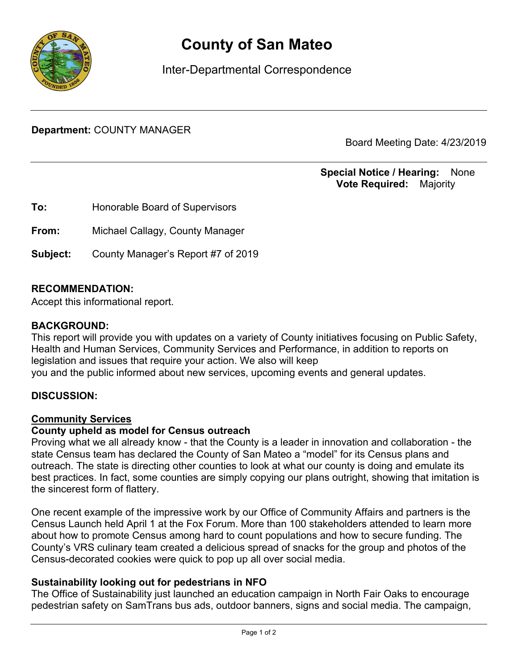

# **County of San Mateo**

Inter-Departmental Correspondence

**Department:** COUNTY MANAGER

Board Meeting Date: 4/23/2019

## **Special Notice / Hearing:** None\_\_ **Vote Required:** Majority

**To:** Honorable Board of Supervisors **From:** Michael Callagy, County Manager **Subject:** County Manager's Report #7 of 2019

## **RECOMMENDATION:**

Accept this informational report.

#### **BACKGROUND:**

This report will provide you with updates on a variety of County initiatives focusing on Public Safety, Health and Human Services, Community Services and Performance, in addition to reports on legislation and issues that require your action. We also will keep you and the public informed about new services, upcoming events and general updates.

## **DISCUSSION:**

#### Community Services

#### **County upheld as model for Census outreach**

Proving what we all already know - that the County is a leader in innovation and collaboration - the state Census team has declared the County of San Mateo a "model" for its Census plans and outreach. The state is directing other counties to look at what our county is doing and emulate its best practices. In fact, some counties are simply copying our plans outright, showing that imitation is the sincerest form of flattery.

One recent example of the impressive work by our Office of Community Affairs and partners is the Census Launch held April 1 at the Fox Forum. More than 100 stakeholders attended to learn more about how to promote Census among hard to count populations and how to secure funding. The County's VRS culinary team created a delicious spread of snacks for the group and photos of the Census-decorated cookies were quick to pop up all over social media.

## **Sustainability looking out for pedestrians in NFO**

The Office of Sustainability just launched an education campaign in North Fair Oaks to encourage pedestrian safety on SamTrans bus ads, outdoor banners, signs and social media. The campaign,